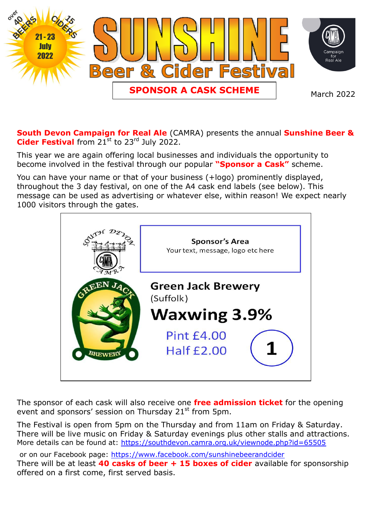

**South Devon Campaign for Real Ale** (CAMRA) presents the annual **Sunshine Beer &**  Cider Festival from 21<sup>st</sup> to 23<sup>rd</sup> July 2022.

This year we are again offering local businesses and individuals the opportunity to become involved in the festival through our popular **"Sponsor a Cask"** scheme.

You can have your name or that of your business (+logo) prominently displayed, throughout the 3 day festival, on one of the A4 cask end labels (see below). This message can be used as advertising or whatever else, within reason! We expect nearly 1000 visitors through the gates.



The sponsor of each cask will also receive one **free admission ticket** for the opening event and sponsors' session on Thursday  $21^{st}$  from 5pm.

The Festival is open from 5pm on the Thursday and from 11am on Friday & Saturday. There will be live music on Friday & Saturday evenings plus other stalls and attractions. More details can be found at:<https://southdevon.camra.org.uk/viewnode.php?id=65505>

or on our Facebook page:<https://www.facebook.com/sunshinebeerandcider> There will be at least **40 casks of beer + 15 boxes of cider** available for sponsorship offered on a first come, first served basis.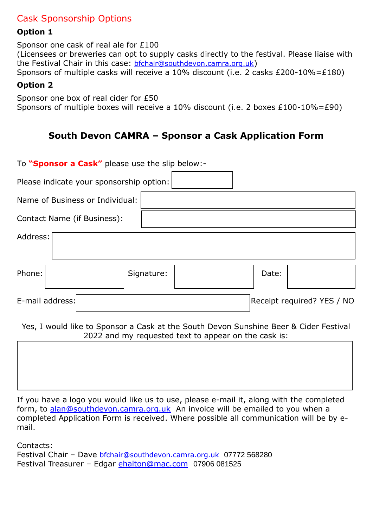## Cask Sponsorship Options

### **Option 1**

Sponsor one cask of real ale for £100

(Licensees or breweries can opt to supply casks directly to the festival. Please liaise with the Festival Chair in this case: [bfchair@southdevon.camra.org.uk](mailto:bfchair@southdevon.camra.org.uk))

## Sponsors of multiple casks will receive a 10% discount (i.e. 2 casks £200-10%=£180)

#### **Option 2**

Sponsor one box of real cider for £50 Sponsors of multiple boxes will receive a 10% discount (i.e. 2 boxes £100-10%=£90)

# **South Devon CAMRA – Sponsor a Cask Application Form**

| To "Sponsor a Cask" please use the slip below:-                                                                                               |  |            |  |       |                            |  |
|-----------------------------------------------------------------------------------------------------------------------------------------------|--|------------|--|-------|----------------------------|--|
| Please indicate your sponsorship option:                                                                                                      |  |            |  |       |                            |  |
| Name of Business or Individual:                                                                                                               |  |            |  |       |                            |  |
| Contact Name (if Business):                                                                                                                   |  |            |  |       |                            |  |
| Address:                                                                                                                                      |  |            |  |       |                            |  |
| Phone:                                                                                                                                        |  | Signature: |  | Date: |                            |  |
| E-mail address:                                                                                                                               |  |            |  |       | Receipt required? YES / NO |  |
| Yes, I would like to Sponsor a Cask at the South Devon Sunshine Beer & Cider Festival<br>2022 and my requested text to appear on the cask is: |  |            |  |       |                            |  |
|                                                                                                                                               |  |            |  |       |                            |  |

If you have a logo you would like us to use, please e-mail it, along with the completed form, to [alan@southdevon.camra.org.uk](mailto:alan@southdevon.camra.org.uk) An invoice will be emailed to you when a completed Application Form is received. Where possible all communication will be by email.

Contacts:

Festival Chair - Dave [bfchair@southdevon.camra.org.uk](mailto:bfchair@southdevon.camra.org.uk) 07772 568280 Festival Treasurer – Edgar [ehalton@mac.com](mailto:ehalton@mac.com) 07906 081525